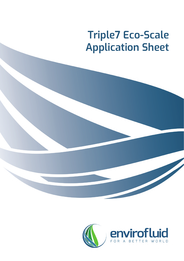# **Triple7 Eco-Scale Application Sheet**



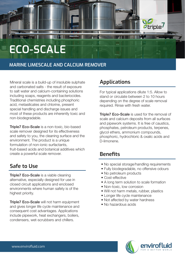# **ECO-SCALE**

#### **MARINE LIMESCALE AND CALCIUM REMOVER**

Mineral scale is a build-up of insoluble sulphate and carbonated salts - the result of exposure to salt water and calcium-containing solutions including soaps, reagents and bacteriocides. Traditional chemistries including phosphoric acid, metasilicates and chlorine, present special handling and discharge issues and most of these products are inherently toxic and non-biodegradable.

**Triple7 Eco-Scale** is a non-toxic, bio-based scale remover designed for its effectiveness

**Triple7 Eco-Scale** is a viable cleaning alternative, especially designed for use in closed circuit applications and enclosed environments where human safety is of the highest priority.

**Triple7 Eco-Scale will not harm equipment** and gives longer life cycle maintenance and consequent cost advantages. Applications include pipework, heat exchangers, boilers, condensers, wet-scrubbers and chillers.

and safety to you, the cleaning surface and the environment. The product is a unique formulation of non-ionic surfactants, fruit-based acids and botanical additives which create a powerful scale remover.

### **Safe to Use**

**Triple7 Eco-Scale** is used for the removal of scale and calcium deposits from all surfaces and pipework systems. It is free of caustics, phosphates, petroleum products, terpenes, glycol ethers, ammonium compounds, phosphoric, hydrochloric & oxalic acids and D-limonene.

- No special storage/handling requirements
- Fully biodegradable, no offensive odours
- No petroleum products
- Cost-effective
- A long term solution to scale formation
- Non-toxic, low corrosion
- Will not harm metals, rubber, plastics
- Longer life cycle maintenance
- Not affected by water hardness
- No hazardous acids



#### **Applications**

For typical applications dilute 1:5. Allow to stand or circulate between 2 to 10 hours depending on the degree of scale removal required. Rinse with fresh water.

*<i><b>Otriple* 

### **Benefits**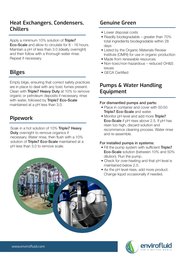



#### **Heat Exchangers, Condensers, Chillers**

#### **Genuine Green**

Apply a minimum 10% solution of **Triple7** Eco-Scale and allow to circulate for 8 - 16 hours. Maintain a pH of less than 3.0 (ideally overnight) and then follow with a thorough water rinse. Repeat if necessary.

# **Bilges**

Empty bilge, ensuring that correct safety practices are in place to deal with any toxic fumes present. Clean with Triple7 Heavy Duty at 10% to remove organic or petroleum deposits if necessary, rinse with water, followed by Triple7 Eco-Scale maintained at a pH less than 3.0.

- Place in container and cover with 50:50 **Triple7 Eco-Scale and water.**
- Monitor pH level and add more Triple7 Eco-Scale if pH rises above 2.5. If pH has risen too high, discard solution and recommence cleaning process. Water rinse

#### **Pumps & Water Handling Equipment**

- Fill the pump system with sufficient Triple7 Eco-Scale solution (between 10% and 50% dilution). Run the pump.
- Check for over-heating and that pH level is maintained below 2.5.
- As the pH level rises, add more product. Change liquid occasionally if needed.

#### For dismantled pumps and parts:

and re-assemble.

#### For installed pumps in systems:

#### **Pipework**

Soak in a hot solution of 10% Triple7 Heavy **Duty** overnight to remove organics if necessary. Water rinse, then flush with a 10% solution of Triple7 Eco-Scale maintained at a pH less than 3.0 to remove scale.

- Lower disposal costs
- Readily biodegradable greater than 70% total ingredients biodegradable within 28 days
- Listed by the Organic Materials Review Institute (OMRI) for use in organic production
- Made from renewable resources
- Non-toxic/non-hazardous reduced OH&S issues
- GECA Certified